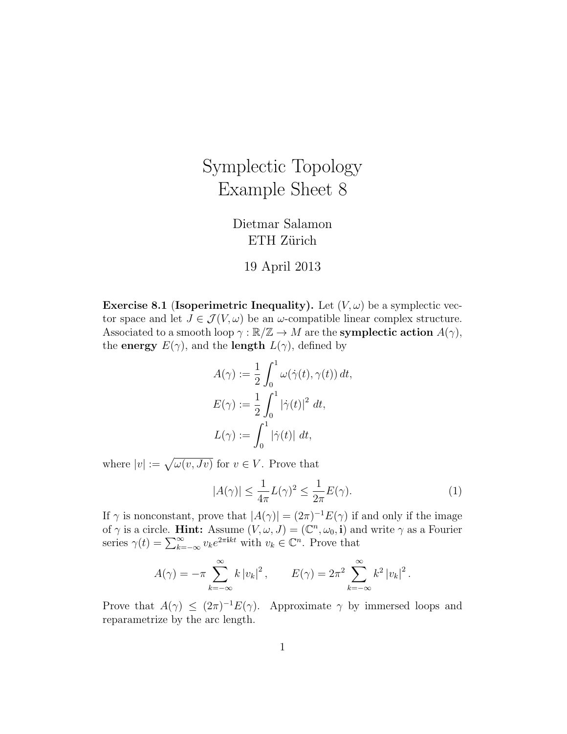## Symplectic Topology Example Sheet 8

Dietmar Salamon ETH Zürich

## 19 April 2013

**Exercise 8.1 (Isoperimetric Inequality).** Let  $(V, \omega)$  be a symplectic vector space and let  $J \in \mathcal{J}(V, \omega)$  be an  $\omega$ -compatible linear complex structure. Associated to a smooth loop  $\gamma : \mathbb{R}/\mathbb{Z} \to M$  are the **symplectic action**  $A(\gamma)$ , the **energy**  $E(\gamma)$ , and the **length**  $L(\gamma)$ , defined by

$$
A(\gamma) := \frac{1}{2} \int_0^1 \omega(\dot{\gamma}(t), \gamma(t)) dt,
$$
  
\n
$$
E(\gamma) := \frac{1}{2} \int_0^1 |\dot{\gamma}(t)|^2 dt,
$$
  
\n
$$
L(\gamma) := \int_0^1 |\dot{\gamma}(t)| dt,
$$

where  $|v| := \sqrt{\omega(v, Jv)}$  for  $v \in V$ . Prove that

$$
|A(\gamma)| \le \frac{1}{4\pi} L(\gamma)^2 \le \frac{1}{2\pi} E(\gamma).
$$
 (1)

If  $\gamma$  is nonconstant, prove that  $|A(\gamma)| = (2\pi)^{-1} E(\gamma)$  if and only if the image of  $\gamma$  is a circle. **Hint:** Assume  $(V, \omega, J) = (\mathbb{C}^n, \omega_0, \mathbf{i})$  and write  $\gamma$  as a Fourier series  $\gamma(t) = \sum_{k=-\infty}^{\infty} v_k e^{2\pi i kt}$  with  $v_k \in \mathbb{C}^n$ . Prove that

$$
A(\gamma) = -\pi \sum_{k=-\infty}^{\infty} k |v_k|^2
$$
,  $E(\gamma) = 2\pi^2 \sum_{k=-\infty}^{\infty} k^2 |v_k|^2$ .

Prove that  $A(\gamma) \leq (2\pi)^{-1} E(\gamma)$ . Approximate  $\gamma$  by immersed loops and reparametrize by the arc length.